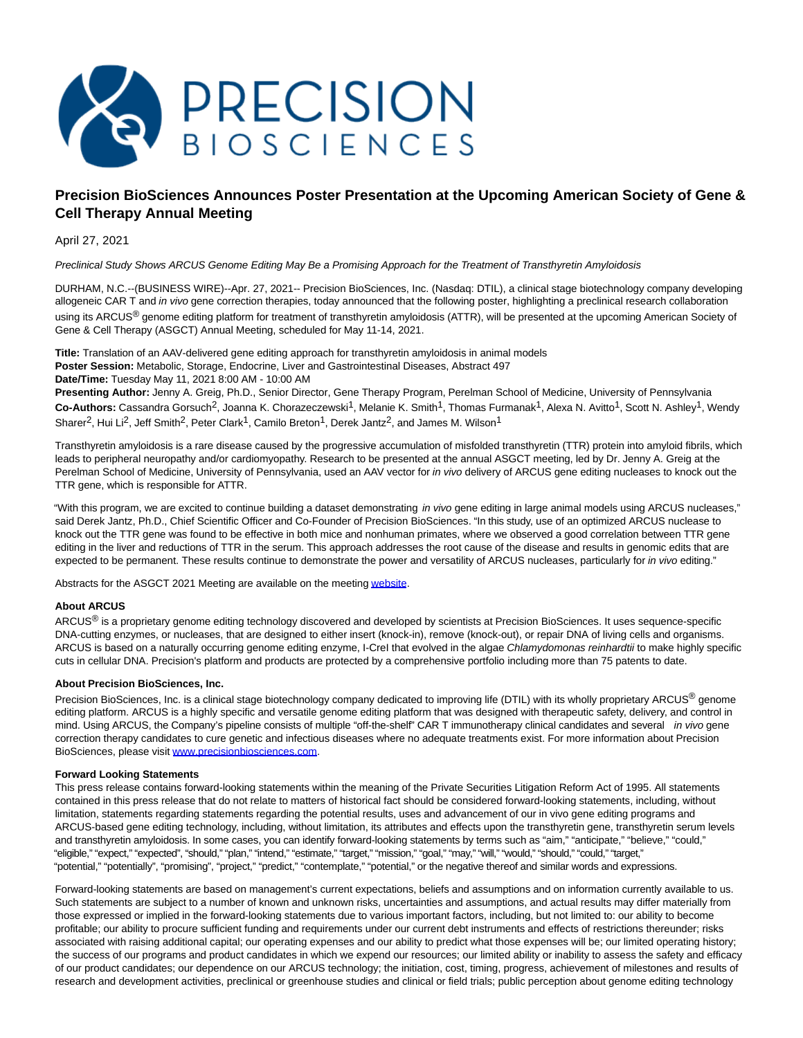

## **Precision BioSciences Announces Poster Presentation at the Upcoming American Society of Gene & Cell Therapy Annual Meeting**

April 27, 2021

Preclinical Study Shows ARCUS Genome Editing May Be a Promising Approach for the Treatment of Transthyretin Amyloidosis

DURHAM, N.C.--(BUSINESS WIRE)--Apr. 27, 2021-- Precision BioSciences, Inc. (Nasdaq: DTIL), a clinical stage biotechnology company developing allogeneic CAR T and in vivo gene correction therapies, today announced that the following poster, highlighting a preclinical research collaboration using its ARCUS<sup>®</sup> genome editing platform for treatment of transthyretin amyloidosis (ATTR), will be presented at the upcoming American Society of Gene & Cell Therapy (ASGCT) Annual Meeting, scheduled for May 11-14, 2021.

**Title:** Translation of an AAV-delivered gene editing approach for transthyretin amyloidosis in animal models **Poster Session:** Metabolic, Storage, Endocrine, Liver and Gastrointestinal Diseases, Abstract 497 **Date/Time:** Tuesday May 11, 2021 8:00 AM - 10:00 AM

**Presenting Author:** Jenny A. Greig, Ph.D., Senior Director, Gene Therapy Program, Perelman School of Medicine, University of Pennsylvania **Co-Authors:** Cassandra Gorsuch2, Joanna K. Chorazeczewski1, Melanie K. Smith1, Thomas Furmanak1, Alexa N. Avitto1, Scott N. Ashley1, Wendy Sharer<sup>2</sup>, Hui Li<sup>2</sup>, Jeff Smith<sup>2</sup>, Peter Clark<sup>1</sup>, Camilo Breton<sup>1</sup>, Derek Jantz<sup>2</sup>, and James M. Wilson<sup>1</sup>

Transthyretin amyloidosis is a rare disease caused by the progressive accumulation of misfolded transthyretin (TTR) protein into amyloid fibrils, which leads to peripheral neuropathy and/or cardiomyopathy. Research to be presented at the annual ASGCT meeting, led by Dr. Jenny A. Greig at the Perelman School of Medicine, University of Pennsylvania, used an AAV vector for in vivo delivery of ARCUS gene editing nucleases to knock out the TTR gene, which is responsible for ATTR.

"With this program, we are excited to continue building a dataset demonstrating in vivo gene editing in large animal models using ARCUS nucleases," said Derek Jantz, Ph.D., Chief Scientific Officer and Co-Founder of Precision BioSciences. "In this study, use of an optimized ARCUS nuclease to knock out the TTR gene was found to be effective in both mice and nonhuman primates, where we observed a good correlation between TTR gene editing in the liver and reductions of TTR in the serum. This approach addresses the root cause of the disease and results in genomic edits that are expected to be permanent. These results continue to demonstrate the power and versatility of ARCUS nucleases, particularly for in vivo editing."

Abstracts for the ASGCT 2021 Meeting are available on the meetin[g website.](https://cts.businesswire.com/ct/CT?id=smartlink&url=https%3A%2F%2Fannualmeeting.asgct.org%2F&esheet=52419267&newsitemid=20210427006142&lan=en-US&anchor=website&index=1&md5=3cf21d1249fd829a0514bae7d9ce60fa)

## **About ARCUS**

ARCUS<sup>®</sup> is a proprietary genome editing technology discovered and developed by scientists at Precision BioSciences. It uses sequence-specific DNA-cutting enzymes, or nucleases, that are designed to either insert (knock-in), remove (knock-out), or repair DNA of living cells and organisms. ARCUS is based on a naturally occurring genome editing enzyme, I-CreI that evolved in the algae Chlamydomonas reinhardtii to make highly specific cuts in cellular DNA. Precision's platform and products are protected by a comprehensive portfolio including more than 75 patents to date.

## **About Precision BioSciences, Inc.**

Precision BioSciences, Inc. is a clinical stage biotechnology company dedicated to improving life (DTIL) with its wholly proprietary ARCUS<sup>®</sup> genome editing platform. ARCUS is a highly specific and versatile genome editing platform that was designed with therapeutic safety, delivery, and control in mind. Using ARCUS, the Company's pipeline consists of multiple "off-the-shelf" CAR T immunotherapy clinical candidates and several in vivo gene correction therapy candidates to cure genetic and infectious diseases where no adequate treatments exist. For more information about Precision BioSciences, please visit [www.precisionbiosciences.com.](https://cts.businesswire.com/ct/CT?id=smartlink&url=http%3A%2F%2Fwww.precisionbiosciences.com%2F&esheet=52419267&newsitemid=20210427006142&lan=en-US&anchor=www.precisionbiosciences.com&index=2&md5=134811eb10a4776934caf530305d6110)

## **Forward Looking Statements**

This press release contains forward-looking statements within the meaning of the Private Securities Litigation Reform Act of 1995. All statements contained in this press release that do not relate to matters of historical fact should be considered forward-looking statements, including, without limitation, statements regarding statements regarding the potential results, uses and advancement of our in vivo gene editing programs and ARCUS-based gene editing technology, including, without limitation, its attributes and effects upon the transthyretin gene, transthyretin serum levels and transthyretin amyloidosis. In some cases, you can identify forward-looking statements by terms such as "aim," "anticipate," "believe," "could," "eligible," "expect," "expected", "should," "plan," "intend," "estimate," "target," "mission," "goal," "may," "will," "would," "should," "could," "target," "potential," "potentially", "promising", "project," "predict," "contemplate," "potential," or the negative thereof and similar words and expressions.

Forward-looking statements are based on management's current expectations, beliefs and assumptions and on information currently available to us. Such statements are subject to a number of known and unknown risks, uncertainties and assumptions, and actual results may differ materially from those expressed or implied in the forward-looking statements due to various important factors, including, but not limited to: our ability to become profitable; our ability to procure sufficient funding and requirements under our current debt instruments and effects of restrictions thereunder; risks associated with raising additional capital; our operating expenses and our ability to predict what those expenses will be; our limited operating history; the success of our programs and product candidates in which we expend our resources; our limited ability or inability to assess the safety and efficacy of our product candidates; our dependence on our ARCUS technology; the initiation, cost, timing, progress, achievement of milestones and results of research and development activities, preclinical or greenhouse studies and clinical or field trials; public perception about genome editing technology